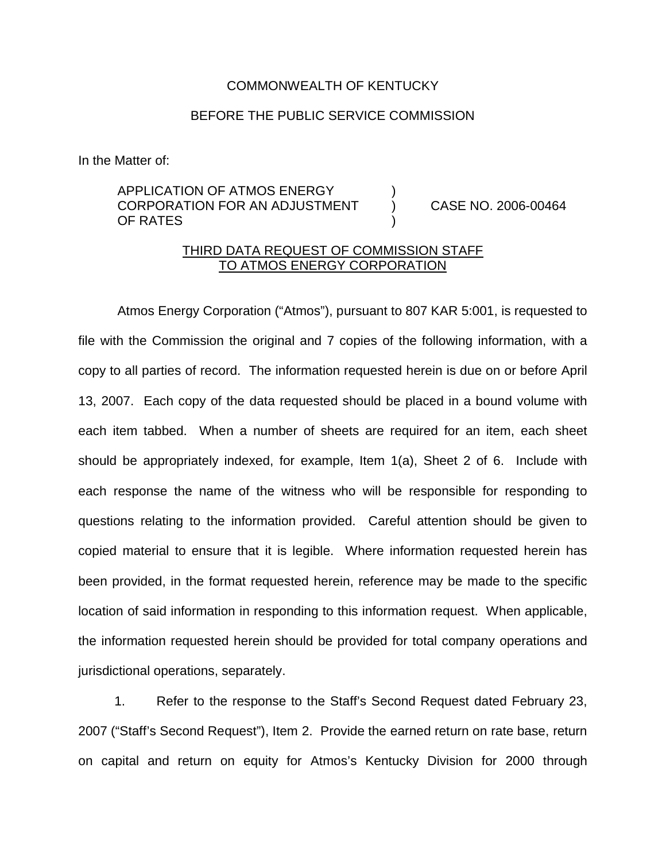#### COMMONWEALTH OF KENTUCKY

#### BEFORE THE PUBLIC SERVICE COMMISSION

In the Matter of:

# APPLICATION OF ATMOS ENERGY CORPORATION FOR AN ADJUSTMENT ) CASE NO. 2006-00464 OF RATES

# THIRD DATA REQUEST OF COMMISSION STAFF TO ATMOS ENERGY CORPORATION

Atmos Energy Corporation ("Atmos"), pursuant to 807 KAR 5:001, is requested to file with the Commission the original and 7 copies of the following information, with a copy to all parties of record. The information requested herein is due on or before April 13, 2007. Each copy of the data requested should be placed in a bound volume with each item tabbed. When a number of sheets are required for an item, each sheet should be appropriately indexed, for example, Item 1(a), Sheet 2 of 6. Include with each response the name of the witness who will be responsible for responding to questions relating to the information provided. Careful attention should be given to copied material to ensure that it is legible. Where information requested herein has been provided, in the format requested herein, reference may be made to the specific location of said information in responding to this information request. When applicable, the information requested herein should be provided for total company operations and jurisdictional operations, separately.

1. Refer to the response to the Staff's Second Request dated February 23, 2007 ("Staff's Second Request"), Item 2. Provide the earned return on rate base, return on capital and return on equity for Atmos's Kentucky Division for 2000 through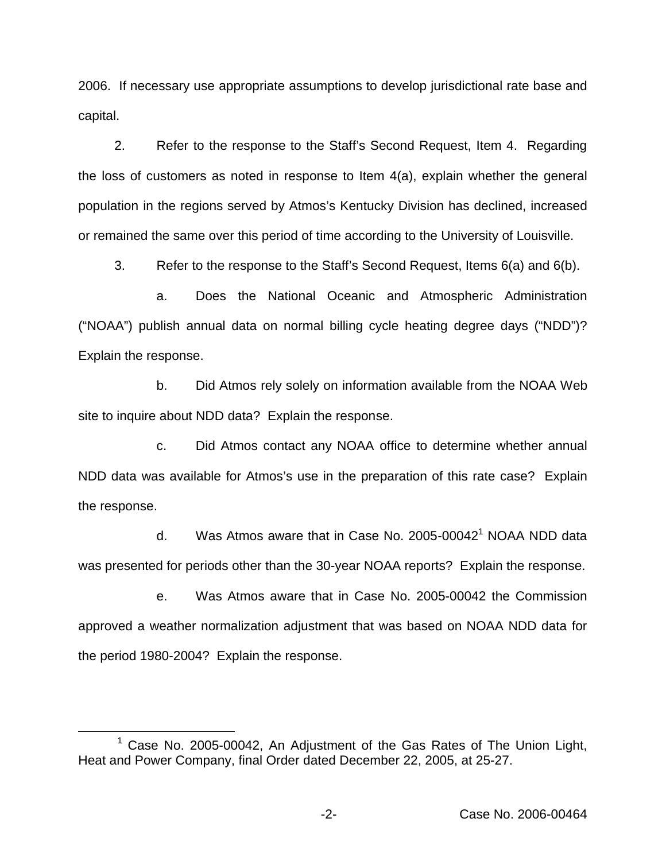2006. If necessary use appropriate assumptions to develop jurisdictional rate base and capital.

2. Refer to the response to the Staff's Second Request, Item 4. Regarding the loss of customers as noted in response to Item 4(a), explain whether the general population in the regions served by Atmos's Kentucky Division has declined, increased or remained the same over this period of time according to the University of Louisville.

3. Refer to the response to the Staff's Second Request, Items 6(a) and 6(b).

a. Does the National Oceanic and Atmospheric Administration ("NOAA") publish annual data on normal billing cycle heating degree days ("NDD")? Explain the response.

b. Did Atmos rely solely on information available from the NOAA Web site to inquire about NDD data? Explain the response.

c. Did Atmos contact any NOAA office to determine whether annual NDD data was available for Atmos's use in the preparation of this rate case? Explain the response.

d. Was Atmos aware that in Case No. 2005-00042<sup>1</sup> NOAA NDD data was presented for periods other than the 30-year NOAA reports? Explain the response.

e. Was Atmos aware that in Case No. 2005-00042 the Commission approved a weather normalization adjustment that was based on NOAA NDD data for the period 1980-2004? Explain the response.

<sup>&</sup>lt;sup>1</sup> Case No. 2005-00042, An Adjustment of the Gas Rates of The Union Light, Heat and Power Company, final Order dated December 22, 2005, at 25-27.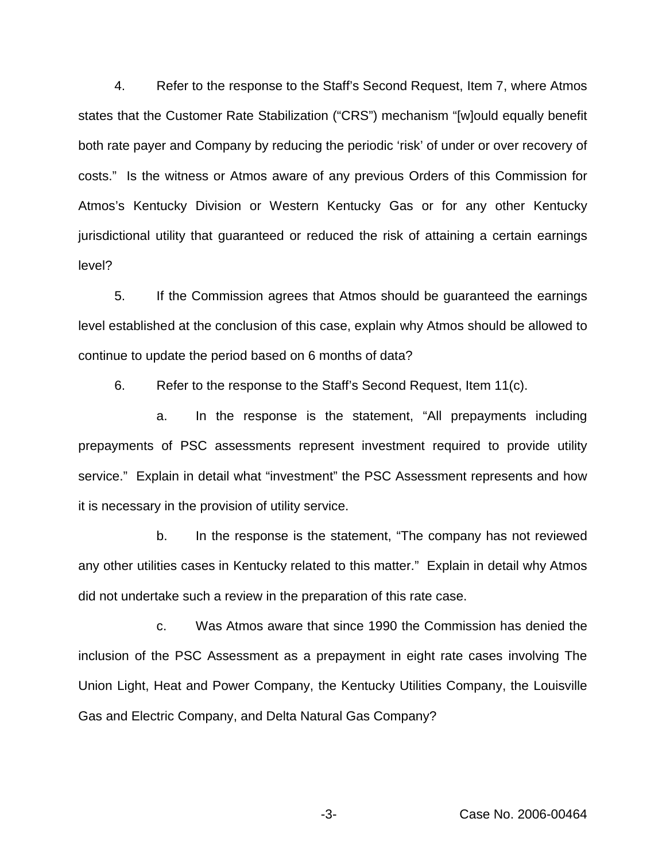4. Refer to the response to the Staff's Second Request, Item 7, where Atmos states that the Customer Rate Stabilization ("CRS") mechanism "[w]ould equally benefit both rate payer and Company by reducing the periodic 'risk' of under or over recovery of costs." Is the witness or Atmos aware of any previous Orders of this Commission for Atmos's Kentucky Division or Western Kentucky Gas or for any other Kentucky jurisdictional utility that guaranteed or reduced the risk of attaining a certain earnings level?

5. If the Commission agrees that Atmos should be guaranteed the earnings level established at the conclusion of this case, explain why Atmos should be allowed to continue to update the period based on 6 months of data?

6. Refer to the response to the Staff's Second Request, Item 11(c).

a. In the response is the statement, "All prepayments including prepayments of PSC assessments represent investment required to provide utility service." Explain in detail what "investment" the PSC Assessment represents and how it is necessary in the provision of utility service.

b. In the response is the statement, "The company has not reviewed any other utilities cases in Kentucky related to this matter." Explain in detail why Atmos did not undertake such a review in the preparation of this rate case.

c. Was Atmos aware that since 1990 the Commission has denied the inclusion of the PSC Assessment as a prepayment in eight rate cases involving The Union Light, Heat and Power Company, the Kentucky Utilities Company, the Louisville Gas and Electric Company, and Delta Natural Gas Company?

-3- Case No. 2006-00464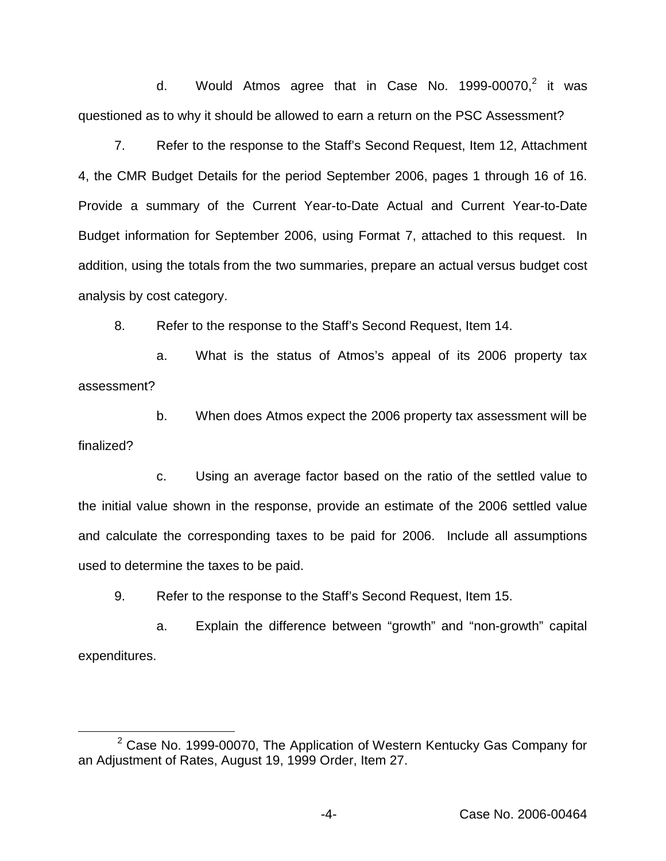d. Would Atmos agree that in Case No.  $1999-00070$ <sup>2</sup>, it was questioned as to why it should be allowed to earn a return on the PSC Assessment?

7. Refer to the response to the Staff's Second Request, Item 12, Attachment 4, the CMR Budget Details for the period September 2006, pages 1 through 16 of 16. Provide a summary of the Current Year-to-Date Actual and Current Year-to-Date Budget information for September 2006, using Format 7, attached to this request. In addition, using the totals from the two summaries, prepare an actual versus budget cost analysis by cost category.

8. Refer to the response to the Staff's Second Request, Item 14.

a. What is the status of Atmos's appeal of its 2006 property tax assessment?

b. When does Atmos expect the 2006 property tax assessment will be finalized?

c. Using an average factor based on the ratio of the settled value to the initial value shown in the response, provide an estimate of the 2006 settled value and calculate the corresponding taxes to be paid for 2006. Include all assumptions used to determine the taxes to be paid.

9. Refer to the response to the Staff's Second Request, Item 15.

a. Explain the difference between "growth" and "non-growth" capital expenditures.

 $2$  Case No. 1999-00070, The Application of Western Kentucky Gas Company for an Adjustment of Rates, August 19, 1999 Order, Item 27.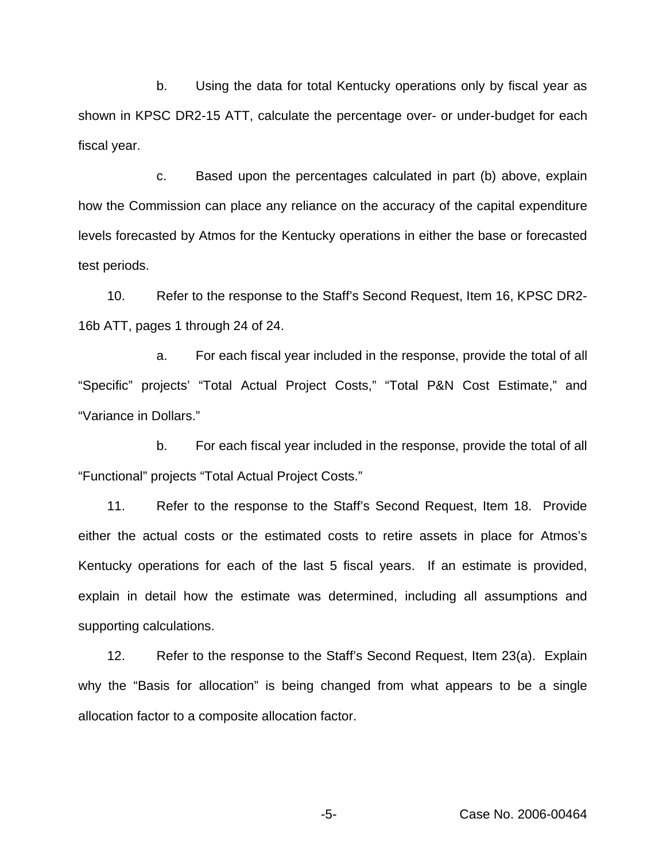b. Using the data for total Kentucky operations only by fiscal year as shown in KPSC DR2-15 ATT, calculate the percentage over- or under-budget for each fiscal year.

c. Based upon the percentages calculated in part (b) above, explain how the Commission can place any reliance on the accuracy of the capital expenditure levels forecasted by Atmos for the Kentucky operations in either the base or forecasted test periods.

10. Refer to the response to the Staff's Second Request, Item 16, KPSC DR2- 16b ATT, pages 1 through 24 of 24.

a. For each fiscal year included in the response, provide the total of all "Specific" projects' "Total Actual Project Costs," "Total P&N Cost Estimate," and "Variance in Dollars."

b. For each fiscal year included in the response, provide the total of all "Functional" projects "Total Actual Project Costs."

11. Refer to the response to the Staff's Second Request, Item 18. Provide either the actual costs or the estimated costs to retire assets in place for Atmos's Kentucky operations for each of the last 5 fiscal years. If an estimate is provided, explain in detail how the estimate was determined, including all assumptions and supporting calculations.

12. Refer to the response to the Staff's Second Request, Item 23(a). Explain why the "Basis for allocation" is being changed from what appears to be a single allocation factor to a composite allocation factor.

-5- Case No. 2006-00464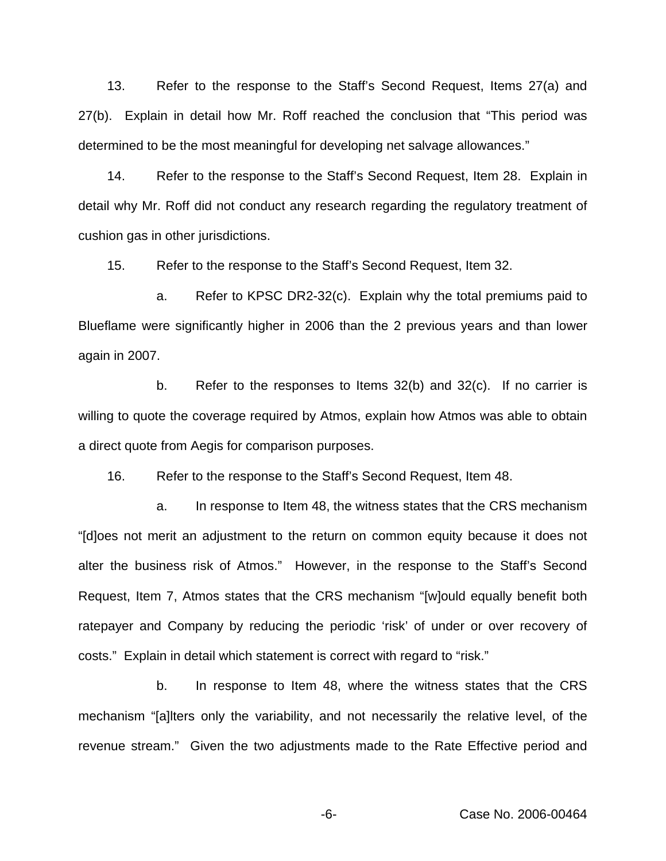13. Refer to the response to the Staff's Second Request, Items 27(a) and 27(b). Explain in detail how Mr. Roff reached the conclusion that "This period was determined to be the most meaningful for developing net salvage allowances."

14. Refer to the response to the Staff's Second Request, Item 28. Explain in detail why Mr. Roff did not conduct any research regarding the regulatory treatment of cushion gas in other jurisdictions.

15. Refer to the response to the Staff's Second Request, Item 32.

a. Refer to KPSC DR2-32(c). Explain why the total premiums paid to Blueflame were significantly higher in 2006 than the 2 previous years and than lower again in 2007.

b. Refer to the responses to Items 32(b) and 32(c). If no carrier is willing to quote the coverage required by Atmos, explain how Atmos was able to obtain a direct quote from Aegis for comparison purposes.

16. Refer to the response to the Staff's Second Request, Item 48.

a. In response to Item 48, the witness states that the CRS mechanism "[d]oes not merit an adjustment to the return on common equity because it does not alter the business risk of Atmos." However, in the response to the Staff's Second Request, Item 7, Atmos states that the CRS mechanism "[w]ould equally benefit both ratepayer and Company by reducing the periodic 'risk' of under or over recovery of costs." Explain in detail which statement is correct with regard to "risk."

b. In response to Item 48, where the witness states that the CRS mechanism "[a]lters only the variability, and not necessarily the relative level, of the revenue stream." Given the two adjustments made to the Rate Effective period and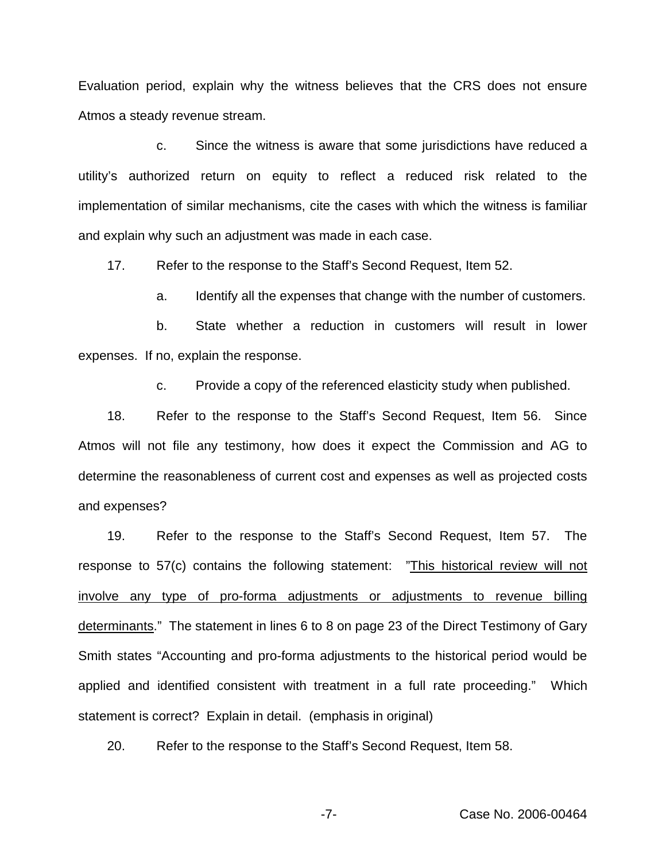Evaluation period, explain why the witness believes that the CRS does not ensure Atmos a steady revenue stream.

c. Since the witness is aware that some jurisdictions have reduced a utility's authorized return on equity to reflect a reduced risk related to the implementation of similar mechanisms, cite the cases with which the witness is familiar and explain why such an adjustment was made in each case.

17. Refer to the response to the Staff's Second Request, Item 52.

a. Identify all the expenses that change with the number of customers.

b. State whether a reduction in customers will result in lower expenses. If no, explain the response.

c. Provide a copy of the referenced elasticity study when published.

18. Refer to the response to the Staff's Second Request, Item 56. Since Atmos will not file any testimony, how does it expect the Commission and AG to determine the reasonableness of current cost and expenses as well as projected costs and expenses?

19. Refer to the response to the Staff's Second Request, Item 57. The response to 57(c) contains the following statement: "This historical review will not involve any type of pro-forma adjustments or adjustments to revenue billing determinants." The statement in lines 6 to 8 on page 23 of the Direct Testimony of Gary Smith states "Accounting and pro-forma adjustments to the historical period would be applied and identified consistent with treatment in a full rate proceeding." Which statement is correct? Explain in detail. (emphasis in original)

20. Refer to the response to the Staff's Second Request, Item 58.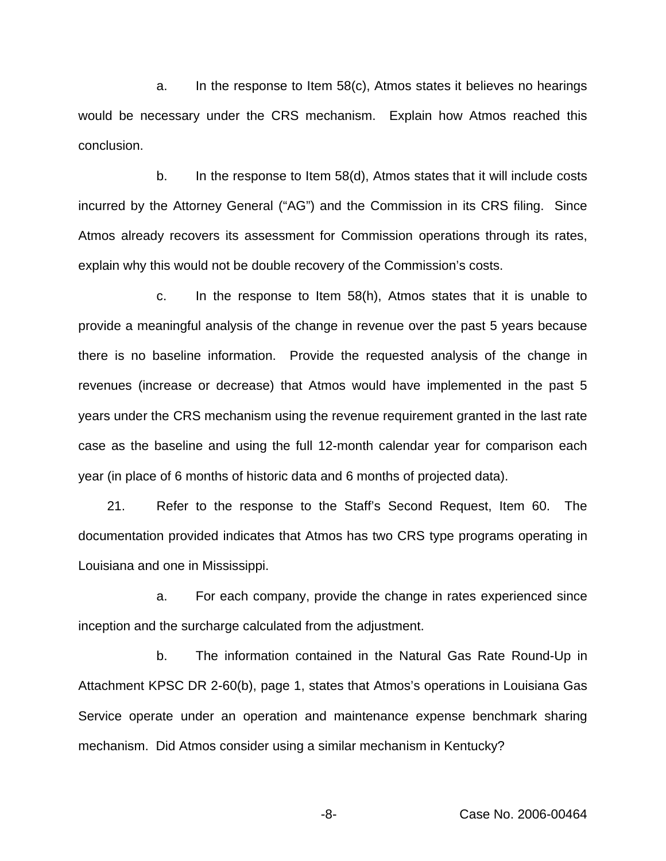a. In the response to Item 58(c), Atmos states it believes no hearings would be necessary under the CRS mechanism. Explain how Atmos reached this conclusion.

b. In the response to Item 58(d), Atmos states that it will include costs incurred by the Attorney General ("AG") and the Commission in its CRS filing. Since Atmos already recovers its assessment for Commission operations through its rates, explain why this would not be double recovery of the Commission's costs.

c. In the response to Item 58(h), Atmos states that it is unable to provide a meaningful analysis of the change in revenue over the past 5 years because there is no baseline information. Provide the requested analysis of the change in revenues (increase or decrease) that Atmos would have implemented in the past 5 years under the CRS mechanism using the revenue requirement granted in the last rate case as the baseline and using the full 12-month calendar year for comparison each year (in place of 6 months of historic data and 6 months of projected data).

21. Refer to the response to the Staff's Second Request, Item 60. The documentation provided indicates that Atmos has two CRS type programs operating in Louisiana and one in Mississippi.

a. For each company, provide the change in rates experienced since inception and the surcharge calculated from the adjustment.

b. The information contained in the Natural Gas Rate Round-Up in Attachment KPSC DR 2-60(b), page 1, states that Atmos's operations in Louisiana Gas Service operate under an operation and maintenance expense benchmark sharing mechanism. Did Atmos consider using a similar mechanism in Kentucky?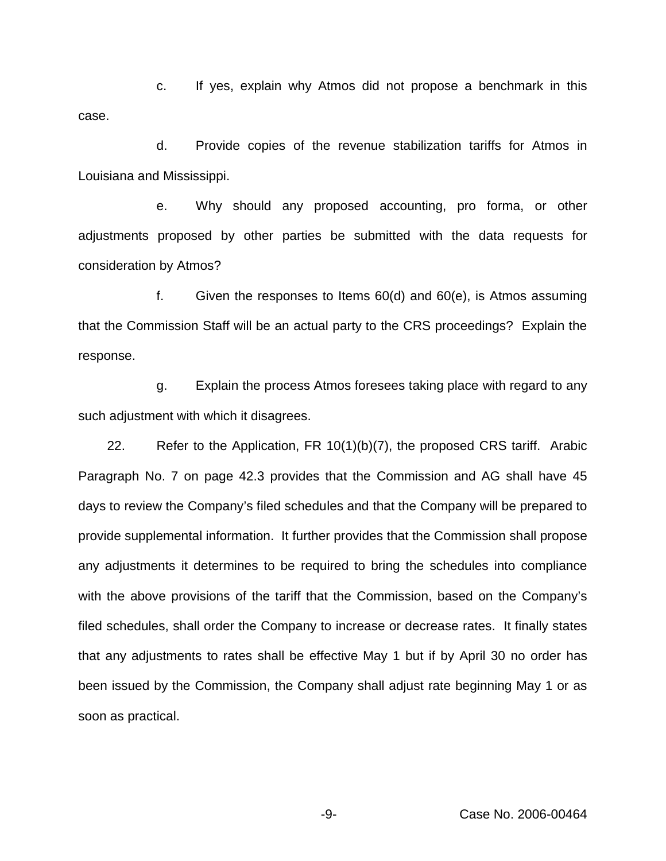c. If yes, explain why Atmos did not propose a benchmark in this case.

d. Provide copies of the revenue stabilization tariffs for Atmos in Louisiana and Mississippi.

e. Why should any proposed accounting, pro forma, or other adjustments proposed by other parties be submitted with the data requests for consideration by Atmos?

f. Given the responses to Items 60(d) and 60(e), is Atmos assuming that the Commission Staff will be an actual party to the CRS proceedings? Explain the response.

g. Explain the process Atmos foresees taking place with regard to any such adjustment with which it disagrees.

22. Refer to the Application, FR 10(1)(b)(7), the proposed CRS tariff. Arabic Paragraph No. 7 on page 42.3 provides that the Commission and AG shall have 45 days to review the Company's filed schedules and that the Company will be prepared to provide supplemental information. It further provides that the Commission shall propose any adjustments it determines to be required to bring the schedules into compliance with the above provisions of the tariff that the Commission, based on the Company's filed schedules, shall order the Company to increase or decrease rates. It finally states that any adjustments to rates shall be effective May 1 but if by April 30 no order has been issued by the Commission, the Company shall adjust rate beginning May 1 or as soon as practical.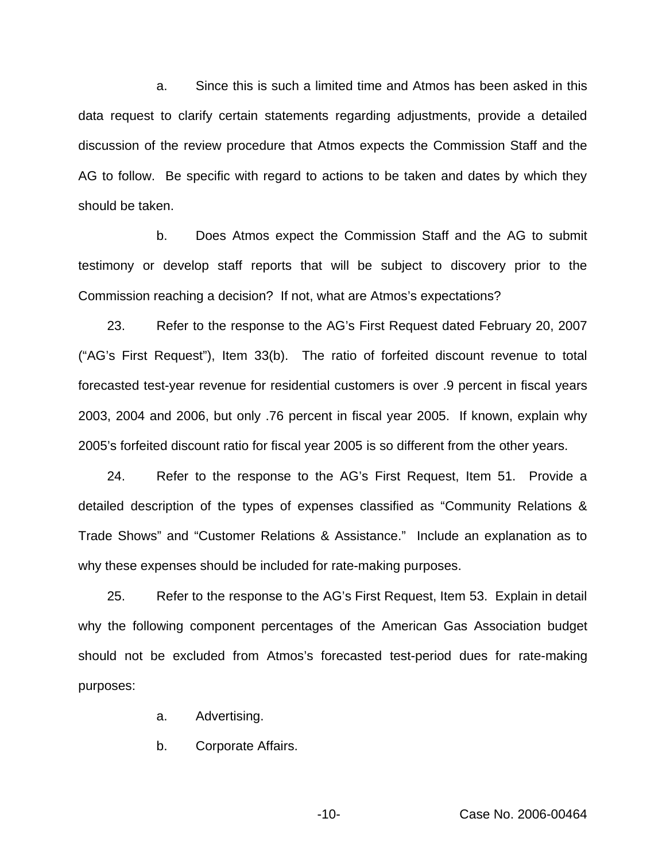a. Since this is such a limited time and Atmos has been asked in this data request to clarify certain statements regarding adjustments, provide a detailed discussion of the review procedure that Atmos expects the Commission Staff and the AG to follow. Be specific with regard to actions to be taken and dates by which they should be taken.

b. Does Atmos expect the Commission Staff and the AG to submit testimony or develop staff reports that will be subject to discovery prior to the Commission reaching a decision? If not, what are Atmos's expectations?

23. Refer to the response to the AG's First Request dated February 20, 2007 ("AG's First Request"), Item 33(b). The ratio of forfeited discount revenue to total forecasted test-year revenue for residential customers is over .9 percent in fiscal years 2003, 2004 and 2006, but only .76 percent in fiscal year 2005. If known, explain why 2005's forfeited discount ratio for fiscal year 2005 is so different from the other years.

24. Refer to the response to the AG's First Request, Item 51. Provide a detailed description of the types of expenses classified as "Community Relations & Trade Shows" and "Customer Relations & Assistance." Include an explanation as to why these expenses should be included for rate-making purposes.

25. Refer to the response to the AG's First Request, Item 53. Explain in detail why the following component percentages of the American Gas Association budget should not be excluded from Atmos's forecasted test-period dues for rate-making purposes:

a. Advertising.

b. Corporate Affairs.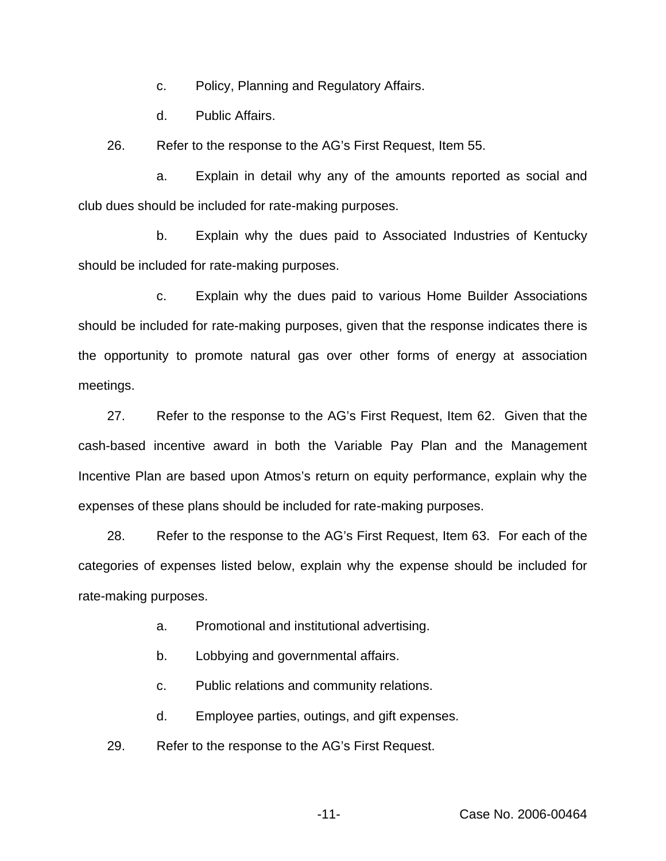c. Policy, Planning and Regulatory Affairs.

d. Public Affairs.

26. Refer to the response to the AG's First Request, Item 55.

a. Explain in detail why any of the amounts reported as social and club dues should be included for rate-making purposes.

b. Explain why the dues paid to Associated Industries of Kentucky should be included for rate-making purposes.

c. Explain why the dues paid to various Home Builder Associations should be included for rate-making purposes, given that the response indicates there is the opportunity to promote natural gas over other forms of energy at association meetings.

27. Refer to the response to the AG's First Request, Item 62. Given that the cash-based incentive award in both the Variable Pay Plan and the Management Incentive Plan are based upon Atmos's return on equity performance, explain why the expenses of these plans should be included for rate-making purposes.

28. Refer to the response to the AG's First Request, Item 63. For each of the categories of expenses listed below, explain why the expense should be included for rate-making purposes.

a. Promotional and institutional advertising.

b. Lobbying and governmental affairs.

c. Public relations and community relations.

d. Employee parties, outings, and gift expenses.

29. Refer to the response to the AG's First Request.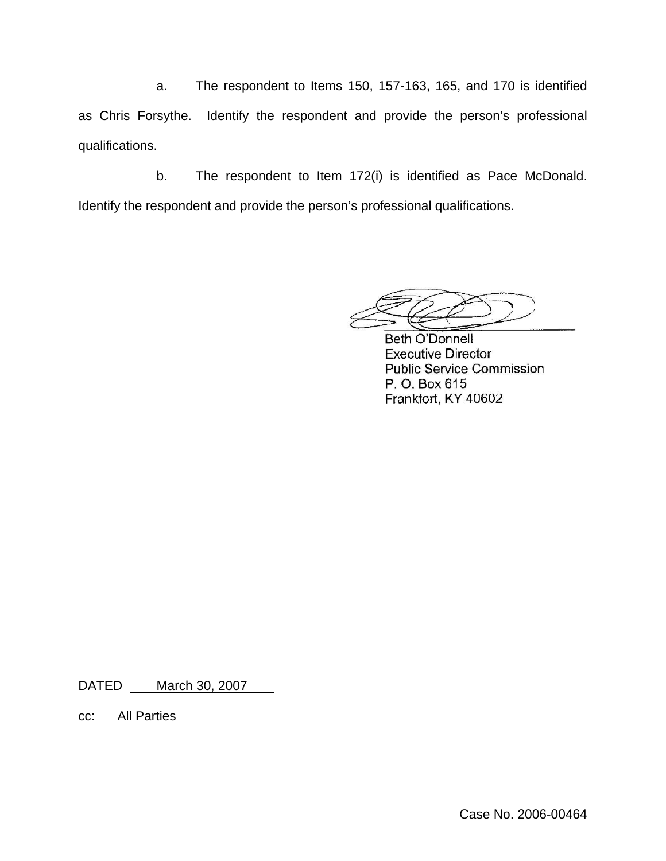a. The respondent to Items 150, 157-163, 165, and 170 is identified as Chris Forsythe. Identify the respondent and provide the person's professional qualifications.

b. The respondent to Item 172(i) is identified as Pace McDonald. Identify the respondent and provide the person's professional qualifications.

**Beth O'Donnell Executive Director Public Service Commission** P. O. Box 615 Frankfort, KY 40602

DATED \_\_\_\_ March 30, 2007

cc: All Parties